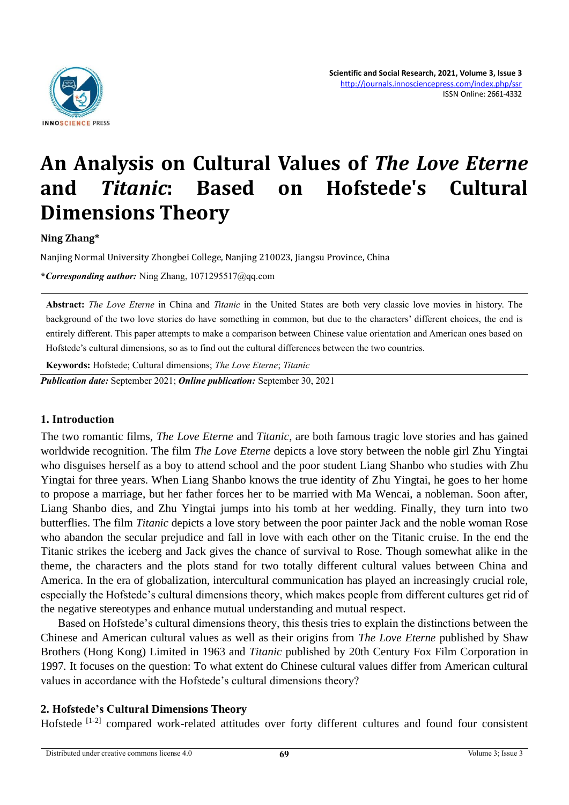

# **An Analysis on Cultural Values of** *The Love Eterne*  **and** *Titanic***: Based on Hofstede's Cultural Dimensions Theory**

### **Ning Zhang\***

Nanjing Normal University Zhongbei College, Nanjing 210023, Jiangsu Province, China

**\****Corresponding author:* Ning Zhang, 1071295517@qq.com

**Abstract:** *The Love Eterne* in China and *Titanic* in the United States are both very classic love movies in history. The background of the two love stories do have something in common, but due to the characters' different choices, the end is entirely different. This paper attempts to make a comparison between Chinese value orientation and American ones based on Hofstede's cultural dimensions, so as to find out the cultural differences between the two countries.

**Keywords:** Hofstede; Cultural dimensions; *The Love Eterne*; *Titanic*

*Publication date:* September 2021; *Online publication:* September 30, 2021

#### **1. Introduction**

The two romantic films, *The Love Eterne* and *Titanic*, are both famous tragic love stories and has gained worldwide recognition. The film *The Love Eterne* depicts a love story between the noble girl Zhu Yingtai who disguises herself as a boy to attend school and the poor student Liang Shanbo who studies with Zhu Yingtai for three years. When Liang Shanbo knows the true identity of Zhu Yingtai, he goes to her home to propose a marriage, but her father forces her to be married with Ma Wencai, a nobleman. Soon after, Liang Shanbo dies, and Zhu Yingtai jumps into his tomb at her wedding. Finally, they turn into two butterflies. The film *Titanic* depicts a love story between the poor painter Jack and the noble woman Rose who abandon the secular prejudice and fall in love with each other on the Titanic cruise. In the end the Titanic strikes the iceberg and Jack gives the chance of survival to Rose. Though somewhat alike in the theme, the characters and the plots stand for two totally different cultural values between China and America. In the era of globalization, intercultural communication has played an increasingly crucial role, especially the Hofstede's cultural dimensions theory, which makes people from different cultures get rid of the negative stereotypes and enhance mutual understanding and mutual respect.

Based on Hofstede's cultural dimensions theory, this thesis tries to explain the distinctions between the Chinese and American cultural values as well as their origins from *The Love Eterne* published by Shaw Brothers (Hong Kong) Limited in 1963 and *Titanic* published by 20th Century Fox Film Corporation in 1997*.* It focuses on the question: To what extent do Chinese cultural values differ from American cultural values in accordance with the Hofstede's cultural dimensions theory?

### **2. Hofstede's Cultural Dimensions Theory**

Hofstede [1-2] compared work-related attitudes over forty different cultures and found four consistent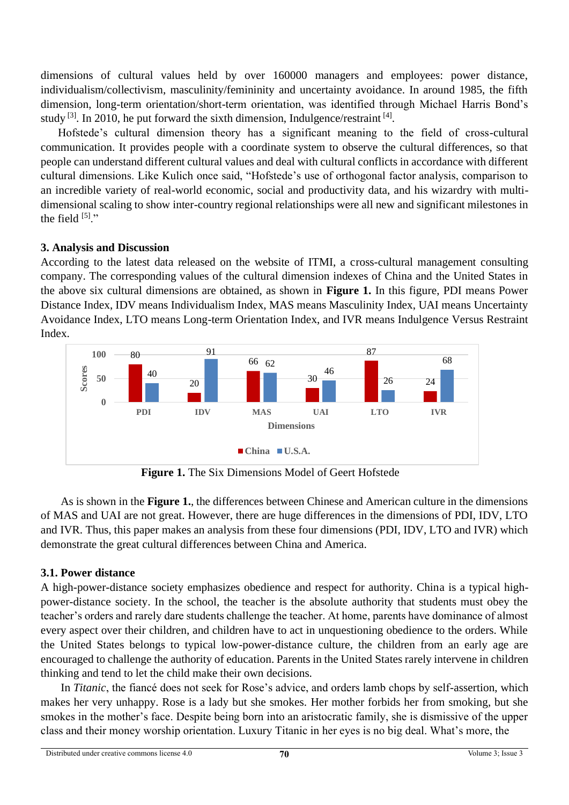dimensions of cultural values held by over 160000 managers and employees: power distance, individualism/collectivism, masculinity/femininity and uncertainty avoidance. In around 1985, the fifth dimension, long-term orientation/short-term orientation, was identified through Michael Harris Bond's study  $^{[3]}$ . In 2010, he put forward the sixth dimension, Indulgence/restraint  $^{[4]}$ .

Hofstede's cultural dimension theory has a significant meaning to the field of cross-cultural communication. It provides people with a coordinate system to observe the cultural differences, so that people can understand different cultural values and deal with cultural conflicts in accordance with different cultural dimensions. Like Kulich once said, "Hofstede's use of orthogonal factor analysis, comparison to an incredible variety of real-world economic, social and productivity data, and his wizardry with multidimensional scaling to show inter-country regional relationships were all new and significant milestones in the field  $[5]$ ."

# **3. Analysis and Discussion**

According to the latest data released on the website of ITMI, a cross-cultural management consulting company. The corresponding values of the cultural dimension indexes of China and the United States in the above six cultural dimensions are obtained, as shown in **Figure 1.** In this figure, PDI means Power Distance Index, IDV means Individualism Index, MAS means Masculinity Index, UAI means Uncertainty Avoidance Index, LTO means Long-term Orientation Index, and IVR means Indulgence Versus Restraint Index.



**Figure 1.** The Six Dimensions Model of Geert Hofstede

As is shown in the **Figure 1.**, the differences between Chinese and American culture in the dimensions of MAS and UAI are not great. However, there are huge differences in the dimensions of PDI, IDV, LTO and IVR. Thus, this paper makes an analysis from these four dimensions (PDI, IDV, LTO and IVR) which demonstrate the great cultural differences between China and America.

# **3.1. Power distance**

A high-power-distance society emphasizes obedience and respect for authority. China is a typical highpower-distance society. In the school, the teacher is the absolute authority that students must obey the teacher's orders and rarely dare students challenge the teacher. At home, parents have dominance of almost every aspect over their children, and children have to act in unquestioning obedience to the orders. While the United States belongs to typical low-power-distance culture, the children from an early age are encouraged to challenge the authority of education. Parents in the United States rarely intervene in children thinking and tend to let the child make their own decisions.

In *Titanic*, the fiancé does not seek for Rose's advice, and orders lamb chops by self-assertion, which makes her very unhappy. Rose is a lady but she smokes. Her mother forbids her from smoking, but she smokes in the mother's face. Despite being born into an aristocratic family, she is dismissive of the upper class and their money worship orientation. Luxury Titanic in her eyes is no big deal. What's more, the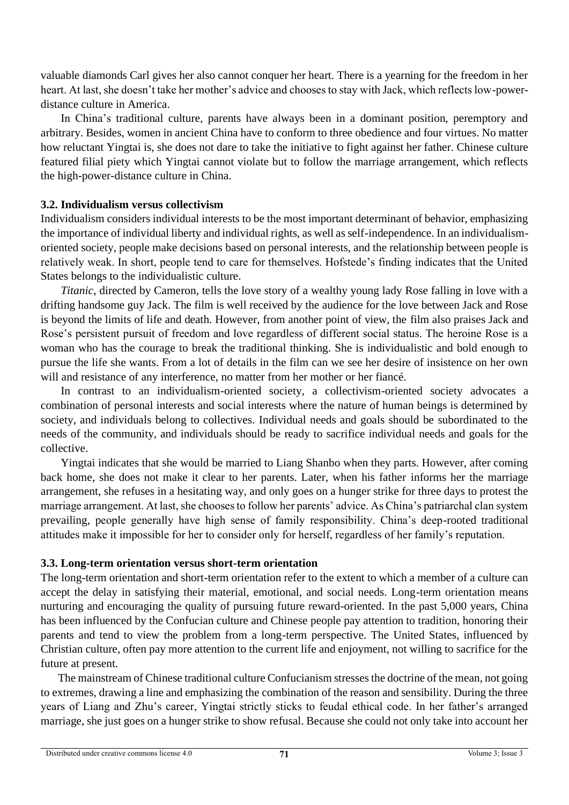valuable diamonds Carl gives her also cannot conquer her heart. There is a yearning for the freedom in her heart. At last, she doesn't take her mother's advice and chooses to stay with Jack, which reflects low-powerdistance culture in America.

In China's traditional culture, parents have always been in a dominant position, peremptory and arbitrary. Besides, women in ancient China have to conform to three obedience and four virtues. No matter how reluctant Yingtai is, she does not dare to take the initiative to fight against her father. Chinese culture featured filial piety which Yingtai cannot violate but to follow the marriage arrangement, which reflects the high-power-distance culture in China.

# **3.2. Individualism versus collectivism**

Individualism considers individual interests to be the most important determinant of behavior, emphasizing the importance of individual liberty and individual rights, as well as self-independence. In an individualismoriented society, people make decisions based on personal interests, and the relationship between people is relatively weak. In short, people tend to care for themselves. Hofstede's finding indicates that the United States belongs to the individualistic culture.

*Titanic*, directed by Cameron, tells the love story of a wealthy young lady Rose falling in love with a drifting handsome guy Jack. The film is well received by the audience for the love between Jack and Rose is beyond the limits of life and death. However, from another point of view, the film also praises Jack and Rose's persistent pursuit of freedom and love regardless of different social status. The heroine Rose is a woman who has the courage to break the traditional thinking. She is individualistic and bold enough to pursue the life she wants. From a lot of details in the film can we see her desire of insistence on her own will and resistance of any interference, no matter from her mother or her fiancé.

In contrast to an individualism-oriented society, a collectivism-oriented society advocates a combination of personal interests and social interests where the nature of human beings is determined by society, and individuals belong to collectives. Individual needs and goals should be subordinated to the needs of the community, and individuals should be ready to sacrifice individual needs and goals for the collective.

Yingtai indicates that she would be married to Liang Shanbo when they parts. However, after coming back home, she does not make it clear to her parents. Later, when his father informs her the marriage arrangement, she refuses in a hesitating way, and only goes on a hunger strike for three days to protest the marriage arrangement. At last, she chooses to follow her parents' advice. As China's patriarchal clan system prevailing, people generally have high sense of family responsibility. China's deep-rooted traditional attitudes make it impossible for her to consider only for herself, regardless of her family's reputation.

#### **3.3. Long-term orientation versus short-term orientation**

The long-term orientation and short-term orientation refer to the extent to which a member of a culture can accept the delay in satisfying their material, emotional, and social needs. Long-term orientation means nurturing and encouraging the quality of pursuing future reward-oriented. In the past 5,000 years, China has been influenced by the Confucian culture and Chinese people pay attention to tradition, honoring their parents and tend to view the problem from a long-term perspective. The United States, influenced by Christian culture, often pay more attention to the current life and enjoyment, not willing to sacrifice for the future at present.

The mainstream of Chinese traditional culture Confucianism stresses the doctrine of the mean, not going to extremes, drawing a line and emphasizing the combination of the reason and sensibility. During the three years of Liang and Zhu's career, Yingtai strictly sticks to feudal ethical code. In her father's arranged marriage, she just goes on a hunger strike to show refusal. Because she could not only take into account her